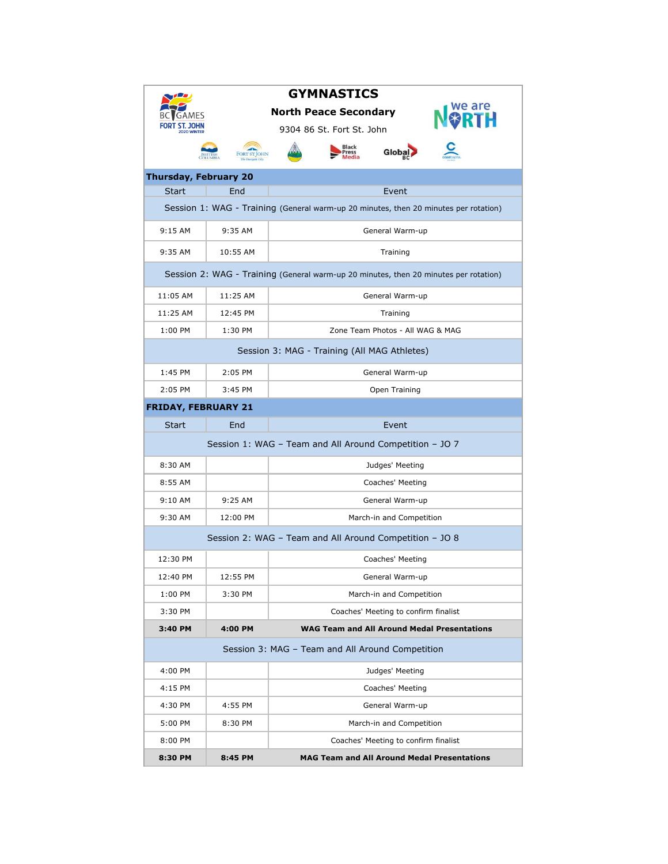| <b>GYMNASTICS</b>                                                                    |              |                                                    |  |  |  |  |  |  |
|--------------------------------------------------------------------------------------|--------------|----------------------------------------------------|--|--|--|--|--|--|
|                                                                                      |              | <b>North Peace Secondary</b>                       |  |  |  |  |  |  |
|                                                                                      |              | 9304 86 St. Fort St. John                          |  |  |  |  |  |  |
|                                                                                      |              | <b>Black</b>                                       |  |  |  |  |  |  |
| <b>Thursday, February 20</b>                                                         |              |                                                    |  |  |  |  |  |  |
| <b>Start</b>                                                                         | End<br>Event |                                                    |  |  |  |  |  |  |
| Session 1: WAG - Training (General warm-up 20 minutes, then 20 minutes per rotation) |              |                                                    |  |  |  |  |  |  |
| $9:15$ AM                                                                            | 9:35 AM      | General Warm-up                                    |  |  |  |  |  |  |
| 9:35 AM                                                                              | 10:55 AM     | Training                                           |  |  |  |  |  |  |
| Session 2: WAG - Training (General warm-up 20 minutes, then 20 minutes per rotation) |              |                                                    |  |  |  |  |  |  |
| 11:05 AM                                                                             | 11:25 AM     | General Warm-up                                    |  |  |  |  |  |  |
| 11:25 AM                                                                             | 12:45 PM     | Training                                           |  |  |  |  |  |  |
| 1:00 PM                                                                              | 1:30 PM      | Zone Team Photos - All WAG & MAG                   |  |  |  |  |  |  |
| Session 3: MAG - Training (All MAG Athletes)                                         |              |                                                    |  |  |  |  |  |  |
| 1:45 PM                                                                              | $2:05$ PM    | General Warm-up                                    |  |  |  |  |  |  |
| 2:05 PM                                                                              | $3:45$ PM    | Open Training                                      |  |  |  |  |  |  |
| <b>FRIDAY, FEBRUARY 21</b>                                                           |              |                                                    |  |  |  |  |  |  |
| Start                                                                                | End          | Event                                              |  |  |  |  |  |  |
| Session 1: WAG - Team and All Around Competition - JO 7                              |              |                                                    |  |  |  |  |  |  |
| 8:30 AM                                                                              |              | Judges' Meeting                                    |  |  |  |  |  |  |
| 8:55 AM                                                                              |              | Coaches' Meeting                                   |  |  |  |  |  |  |
| $9:10$ AM                                                                            | $9:25$ AM    | General Warm-up                                    |  |  |  |  |  |  |
| 9:30 AM                                                                              | 12:00 PM     | March-in and Competition                           |  |  |  |  |  |  |
| Session 2: WAG - Team and All Around Competition - JO 8                              |              |                                                    |  |  |  |  |  |  |
| 12:30 PM                                                                             |              | Coaches' Meeting                                   |  |  |  |  |  |  |
| 12:40 PM                                                                             | 12:55 PM     | General Warm-up                                    |  |  |  |  |  |  |
| 1:00 PM                                                                              | 3:30 PM      | March-in and Competition                           |  |  |  |  |  |  |
| 3:30 PM                                                                              |              | Coaches' Meeting to confirm finalist               |  |  |  |  |  |  |
| 3:40 PM                                                                              | 4:00 PM      | <b>WAG Team and All Around Medal Presentations</b> |  |  |  |  |  |  |
| Session 3: MAG – Team and All Around Competition                                     |              |                                                    |  |  |  |  |  |  |
| 4:00 PM                                                                              |              | Judges' Meeting                                    |  |  |  |  |  |  |
| 4:15 PM                                                                              |              | Coaches' Meeting                                   |  |  |  |  |  |  |
| 4:30 PM                                                                              | 4:55 PM      | General Warm-up                                    |  |  |  |  |  |  |
| 5:00 PM                                                                              | 8:30 PM      | March-in and Competition                           |  |  |  |  |  |  |
| 8:00 PM                                                                              |              | Coaches' Meeting to confirm finalist               |  |  |  |  |  |  |
| 8:30 PM                                                                              | 8:45 PM      | <b>MAG Team and All Around Medal Presentations</b> |  |  |  |  |  |  |